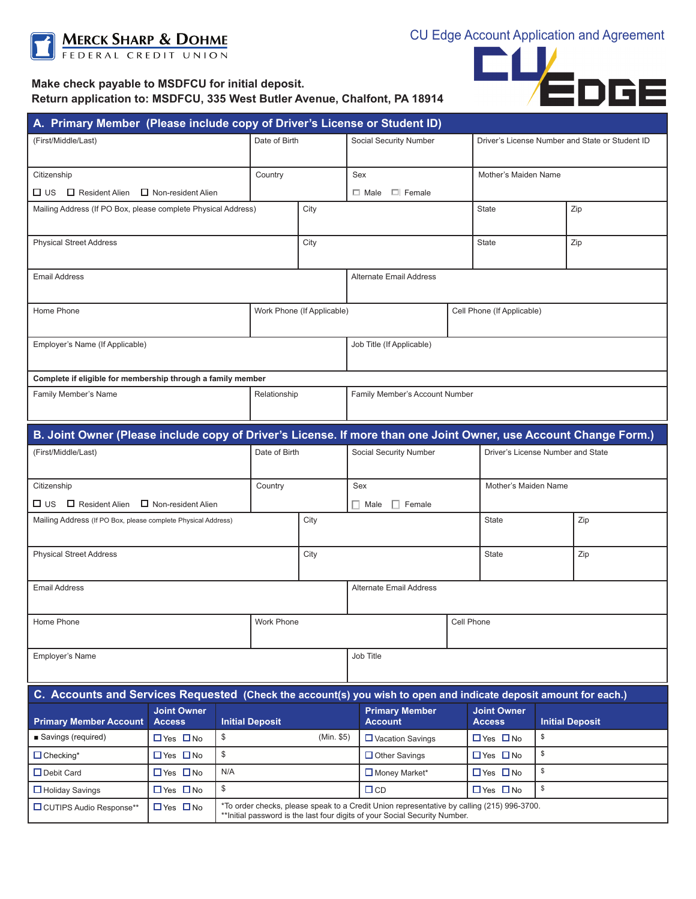

## **Make check payable to MSDFCU for initial deposit. Return application to: MSDFCU, 335 West Butler Avenue, Chalfont, PA 18914**



| A. Primary Member (Please include copy of Driver's License or Student ID)                                        |                                     |                                                                                            |                                |                        |                                         |                                                 |                                     |     |                        |  |  |  |
|------------------------------------------------------------------------------------------------------------------|-------------------------------------|--------------------------------------------------------------------------------------------|--------------------------------|------------------------|-----------------------------------------|-------------------------------------------------|-------------------------------------|-----|------------------------|--|--|--|
| (First/Middle/Last)                                                                                              |                                     | Date of Birth                                                                              |                                | Social Security Number |                                         | Driver's License Number and State or Student ID |                                     |     |                        |  |  |  |
|                                                                                                                  |                                     |                                                                                            |                                |                        |                                         |                                                 |                                     |     |                        |  |  |  |
| Citizenship                                                                                                      |                                     |                                                                                            | Country                        |                        | Sex                                     |                                                 | Mother's Maiden Name                |     |                        |  |  |  |
| $\Box$ US $\Box$ Resident Alien $\Box$ Non-resident Alien                                                        |                                     |                                                                                            |                                |                        | $\Box$ Male $\Box$ Female               |                                                 |                                     |     |                        |  |  |  |
| Mailing Address (If PO Box, please complete Physical Address)                                                    |                                     |                                                                                            | City                           |                        |                                         |                                                 | <b>State</b>                        |     | Zip                    |  |  |  |
|                                                                                                                  |                                     |                                                                                            |                                |                        |                                         |                                                 |                                     |     |                        |  |  |  |
| <b>Physical Street Address</b>                                                                                   |                                     |                                                                                            | City                           |                        |                                         |                                                 | <b>State</b>                        | Zip |                        |  |  |  |
|                                                                                                                  |                                     |                                                                                            |                                |                        |                                         |                                                 |                                     |     |                        |  |  |  |
| <b>Email Address</b>                                                                                             |                                     |                                                                                            | <b>Alternate Email Address</b> |                        |                                         |                                                 |                                     |     |                        |  |  |  |
| Home Phone                                                                                                       |                                     |                                                                                            | Work Phone (If Applicable)     |                        |                                         |                                                 | Cell Phone (If Applicable)          |     |                        |  |  |  |
|                                                                                                                  |                                     |                                                                                            |                                |                        |                                         |                                                 |                                     |     |                        |  |  |  |
| Employer's Name (If Applicable)                                                                                  |                                     |                                                                                            |                                |                        | Job Title (If Applicable)               |                                                 |                                     |     |                        |  |  |  |
|                                                                                                                  |                                     |                                                                                            |                                |                        |                                         |                                                 |                                     |     |                        |  |  |  |
| Complete if eligible for membership through a family member                                                      |                                     |                                                                                            |                                |                        |                                         |                                                 |                                     |     |                        |  |  |  |
| Family Member's Name                                                                                             |                                     |                                                                                            | Relationship                   |                        | Family Member's Account Number          |                                                 |                                     |     |                        |  |  |  |
|                                                                                                                  |                                     |                                                                                            |                                |                        |                                         |                                                 |                                     |     |                        |  |  |  |
| B. Joint Owner (Please include copy of Driver's License. If more than one Joint Owner, use Account Change Form.) |                                     |                                                                                            |                                |                        |                                         |                                                 |                                     |     |                        |  |  |  |
| (First/Middle/Last)                                                                                              |                                     |                                                                                            | Date of Birth                  |                        | Social Security Number                  |                                                 | Driver's License Number and State   |     |                        |  |  |  |
|                                                                                                                  |                                     |                                                                                            |                                |                        |                                         |                                                 |                                     |     |                        |  |  |  |
| Citizenship                                                                                                      |                                     |                                                                                            | Country                        |                        | Sex                                     |                                                 | Mother's Maiden Name                |     |                        |  |  |  |
| $\Box$ US $\Box$ Resident Alien $\Box$ Non-resident Alien                                                        |                                     |                                                                                            |                                |                        | $\Box$ Female<br>$\Box$ Male            |                                                 |                                     |     |                        |  |  |  |
| Mailing Address (If PO Box, please complete Physical Address)                                                    |                                     |                                                                                            |                                | City                   |                                         |                                                 | <b>State</b>                        |     | Zip                    |  |  |  |
|                                                                                                                  |                                     |                                                                                            |                                |                        |                                         |                                                 |                                     |     |                        |  |  |  |
| <b>Physical Street Address</b>                                                                                   |                                     |                                                                                            |                                | City                   |                                         |                                                 |                                     |     | Zip                    |  |  |  |
|                                                                                                                  |                                     |                                                                                            |                                |                        |                                         |                                                 |                                     |     |                        |  |  |  |
| <b>Email Address</b>                                                                                             |                                     |                                                                                            |                                |                        | Alternate Email Address                 |                                                 |                                     |     |                        |  |  |  |
|                                                                                                                  |                                     |                                                                                            |                                |                        |                                         |                                                 |                                     |     |                        |  |  |  |
| Home Phone                                                                                                       |                                     |                                                                                            | Work Phone                     |                        | Cell Phone                              |                                                 |                                     |     |                        |  |  |  |
|                                                                                                                  |                                     |                                                                                            |                                |                        |                                         |                                                 |                                     |     |                        |  |  |  |
| Employer's Name                                                                                                  |                                     |                                                                                            |                                |                        | Job Title                               |                                                 |                                     |     |                        |  |  |  |
|                                                                                                                  |                                     |                                                                                            |                                |                        |                                         |                                                 |                                     |     |                        |  |  |  |
| C. Accounts and Services Requested (Check the account(s) you wish to open and indicate deposit amount for each.) |                                     |                                                                                            |                                |                        |                                         |                                                 |                                     |     |                        |  |  |  |
| <b>Primary Member Account</b>                                                                                    | <b>Joint Owner</b><br><b>Access</b> |                                                                                            | <b>Initial Deposit</b>         |                        | <b>Primary Member</b><br><b>Account</b> |                                                 | <b>Joint Owner</b><br><b>Access</b> |     | <b>Initial Deposit</b> |  |  |  |
| ■ Savings (required)                                                                                             | $\Box$ Yes $\Box$ No                | \$                                                                                         |                                | (Min. \$5)             | $\Box$ Vacation Savings                 |                                                 | $\Box$ Yes $\Box$ No                | \$  |                        |  |  |  |
| $\Box$ Checking*                                                                                                 | $\Box$ Yes $\Box$ No                | \$                                                                                         |                                |                        | $\Box$ Other Savings                    |                                                 | \$<br>$\Box$ Yes $\Box$ No          |     |                        |  |  |  |
| $\Box$ Debit Card                                                                                                | $\Box$ Yes $\Box$ No                | N/A                                                                                        |                                |                        | $\Box$ Money Market*                    |                                                 | \$<br>$\Box$ Yes $\Box$ No          |     |                        |  |  |  |
| $\Box$ Holiday Savings                                                                                           | $\Box$ Yes $\Box$ No                | $\mathfrak{S}$                                                                             |                                |                        | $\Box$ CD                               |                                                 | $\Box$ Yes $\Box$ No                | \$  |                        |  |  |  |
| <b>O</b> CUTIPS Audio Response**                                                                                 | $\Box$ Yes $\Box$ No                | *To order checks, please speak to a Credit Union representative by calling (215) 996-3700. |                                |                        |                                         |                                                 |                                     |     |                        |  |  |  |
|                                                                                                                  |                                     | ** Initial password is the last four digits of your Social Security Number.                |                                |                        |                                         |                                                 |                                     |     |                        |  |  |  |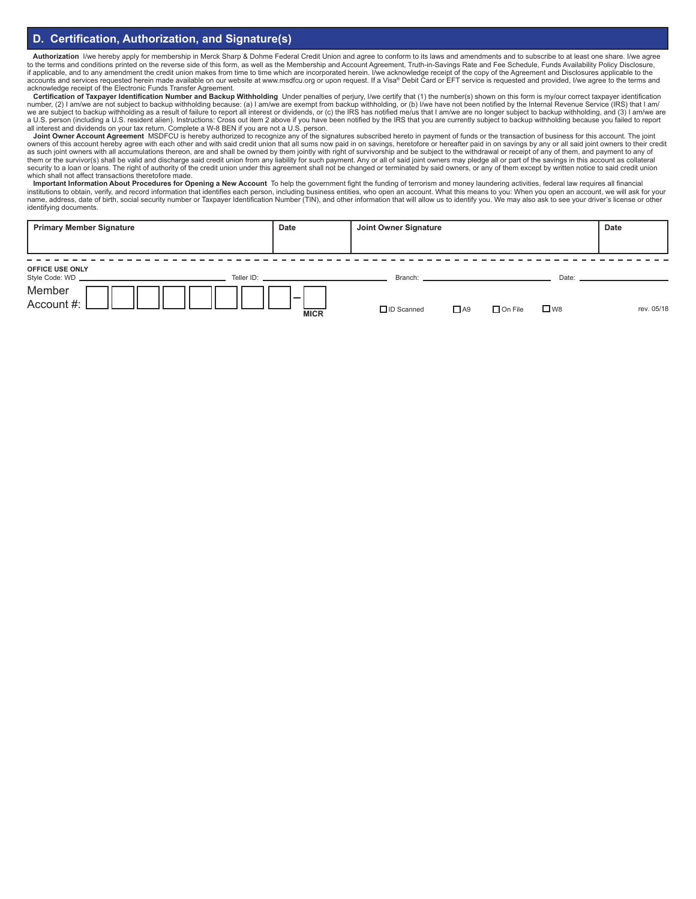## **D. Certification, Authorization, and Signature(s)**

Authorization I/we hereby apply for membership in Merck Sharp & Dohme Federal Credit Union and agree to conform to its laws and amendments and to subscribe to at least one share. I/we agree to the terms and conditions printed on the reverse side of this form, as well as the Membership and Account Agreement, Truth-in-Savings Rate and Fee Schedule, Funds Availability Policy Disclosure,<br>if applicable, and to any accounts and services requested herein made available on our website at www.msdfcu.org or upon request. If a Visa® Debit Card or EFT service is requested and provided, I/we agree to the terms and acknowledge receipt of the Electronic Funds Transfer Agreement.

**Certification of Taxpayer Identification Number and Backup Withholding** Under penalties of perjury, I/we certify that (1) the number(s) shown on this form is my/our correct taxpayer identification number, (2) I am/we are not subject to backup withholding because: (a) I am/we are exempt from backup withholding, or (b) I/we have not been notified by the Internal Revenue Service (IRS) that I am/<br>we are subject to back all interest and dividends on your tax return. Complete a W-8 BEN if you are not a U.S. person.

Joint Owner Account Agreement MSDFCU is hereby authorized to recognize any of the signatures subscribed hereto in payment of funds or the transaction of business for this account. The joint metally and the and with said cr as such joint owners with all accumulations thereon, are and shall be owned by them jointly with right of survivorship and be subject to the withdrawal or receipt of any of them, and payment to any of them or the survivor(s) shall be valid and discharge said credit union from any liability for such payment. Any or all of said joint owners may pledge all or part of the savings in this account as collateral<br>security to a which shall not affect transactions theretofore made.

Important Information About Procedures for Opening a New Account To help the government fight the funding of terrorism and money laundering activities, federal law requires all financial<br>institutions to obtain, verify, and name, address, date of birth, social security number or Taxpayer Identification Number (TIN), and other information that will allow us to identify you. We may also ask to see your driver's license or other identifying documents.

| <b>Primary Member Signature</b>           | Date                                     | Joint Owner Signature |           |                |           | <b>Date</b> |
|-------------------------------------------|------------------------------------------|-----------------------|-----------|----------------|-----------|-------------|
|                                           |                                          |                       |           |                |           |             |
| <b>OFFICE USE ONLY</b><br>Style Code: WD. | Teller ID: New York State And Teller ID: |                       |           |                |           |             |
| Member<br>Account #:                      | $\overline{\phantom{a}}$<br><b>MICR</b>  | $\Box$ ID Scanned     | $\Box$ A9 | $\Box$ On File | $\Box$ W8 | rev. 05/18  |